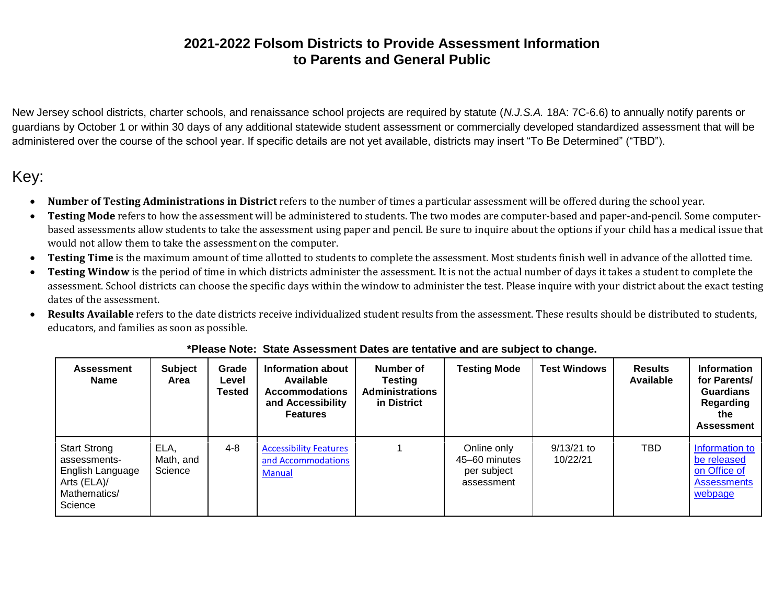## **2021-2022 Folsom Districts to Provide Assessment Information to Parents and General Public**

New Jersey school districts, charter schools, and renaissance school projects are required by statute (*N.J.S.A.* 18A: 7C-6.6) to annually notify parents or guardians by October 1 or within 30 days of any additional statewide student assessment or commercially developed standardized assessment that will be administered over the course of the school year. If specific details are not yet available, districts may insert "To Be Determined" ("TBD").

## Key:

- **Number of Testing Administrations in District** refers to the number of times a particular assessment will be offered during the school year.
- **Testing Mode** refers to how the assessment will be administered to students. The two modes are computer-based and paper-and-pencil. Some computerbased assessments allow students to take the assessment using paper and pencil. Be sure to inquire about the options if your child has a medical issue that would not allow them to take the assessment on the computer.
- **Testing Time** is the maximum amount of time allotted to students to complete the assessment. Most students finish well in advance of the allotted time.
- **Testing Window** is the period of time in which districts administer the assessment. It is not the actual number of days it takes a student to complete the assessment. School districts can choose the specific days within the window to administer the test. Please inquire with your district about the exact testing dates of the assessment.
- **Results Available** refers to the date districts receive individualized student results from the assessment. These results should be distributed to students, educators, and families as soon as possible.

| <b>Assessment</b><br><b>Name</b>                                                                  | <b>Subject</b><br>Area       | Grade<br>Level<br><b>Tested</b> | Information about<br>Available<br><b>Accommodations</b><br>and Accessibility<br><b>Features</b> | Number of<br>Testing<br><b>Administrations</b><br>in District | <b>Testing Mode</b>                                       | <b>Test Windows</b>      | <b>Results</b><br>Available | <b>Information</b><br>for Parents/<br><b>Guardians</b><br>Regarding<br>the<br><b>Assessment</b> |
|---------------------------------------------------------------------------------------------------|------------------------------|---------------------------------|-------------------------------------------------------------------------------------------------|---------------------------------------------------------------|-----------------------------------------------------------|--------------------------|-----------------------------|-------------------------------------------------------------------------------------------------|
| <b>Start Strong</b><br>assessments-<br>English Language<br>Arts (ELA)/<br>Mathematics/<br>Science | ELA,<br>Math, and<br>Science | 4-8                             | <b>Accessibility Features</b><br>and Accommodations<br><b>Manual</b>                            |                                                               | Online only<br>45-60 minutes<br>per subject<br>assessment | $9/13/21$ to<br>10/22/21 | TBD                         | Information to<br>be released<br>on Office of<br>Assessments<br>webpage                         |

**\*Please Note: State Assessment Dates are tentative and are subject to change.**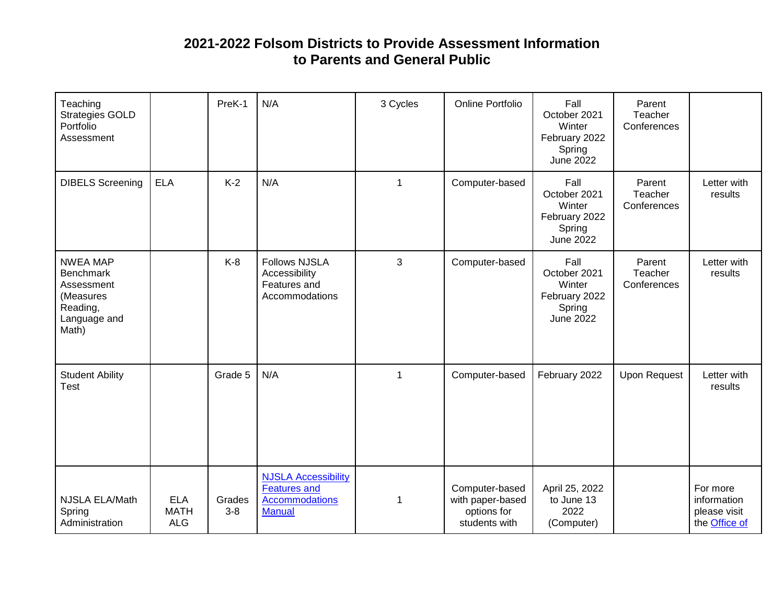## **2021-2022 Folsom Districts to Provide Assessment Information to Parents and General Public**

| Teaching<br><b>Strategies GOLD</b><br>Portfolio<br>Assessment                                       |                                         | PreK-1          | N/A                                                                                         | 3 Cycles     | Online Portfolio                                                   | Fall<br>October 2021<br>Winter<br>February 2022<br>Spring<br><b>June 2022</b> | Parent<br>Teacher<br>Conferences |                                                                 |
|-----------------------------------------------------------------------------------------------------|-----------------------------------------|-----------------|---------------------------------------------------------------------------------------------|--------------|--------------------------------------------------------------------|-------------------------------------------------------------------------------|----------------------------------|-----------------------------------------------------------------|
| <b>DIBELS Screening</b>                                                                             | <b>ELA</b>                              | $K-2$           | N/A                                                                                         | $\mathbf{1}$ | Computer-based                                                     | Fall<br>October 2021<br>Winter<br>February 2022<br>Spring<br><b>June 2022</b> | Parent<br>Teacher<br>Conferences | Letter with<br>results                                          |
| <b>NWEA MAP</b><br><b>Benchmark</b><br>Assessment<br>(Measures<br>Reading,<br>Language and<br>Math) |                                         | $K-8$           | <b>Follows NJSLA</b><br>Accessibility<br>Features and<br>Accommodations                     | 3            | Computer-based                                                     | Fall<br>October 2021<br>Winter<br>February 2022<br>Spring<br><b>June 2022</b> | Parent<br>Teacher<br>Conferences | Letter with<br>results                                          |
| <b>Student Ability</b><br>Test                                                                      |                                         | Grade 5         | N/A                                                                                         | 1            | Computer-based                                                     | February 2022                                                                 | <b>Upon Request</b>              | Letter with<br>results                                          |
| NJSLA ELA/Math<br>Spring<br>Administration                                                          | <b>ELA</b><br><b>MATH</b><br><b>ALG</b> | Grades<br>$3-8$ | <b>NJSLA Accessibility</b><br><b>Features and</b><br><b>Accommodations</b><br><b>Manual</b> | 1            | Computer-based<br>with paper-based<br>options for<br>students with | April 25, 2022<br>to June 13<br>2022<br>(Computer)                            |                                  | For more<br>information<br>please visit<br>the <b>Office</b> of |